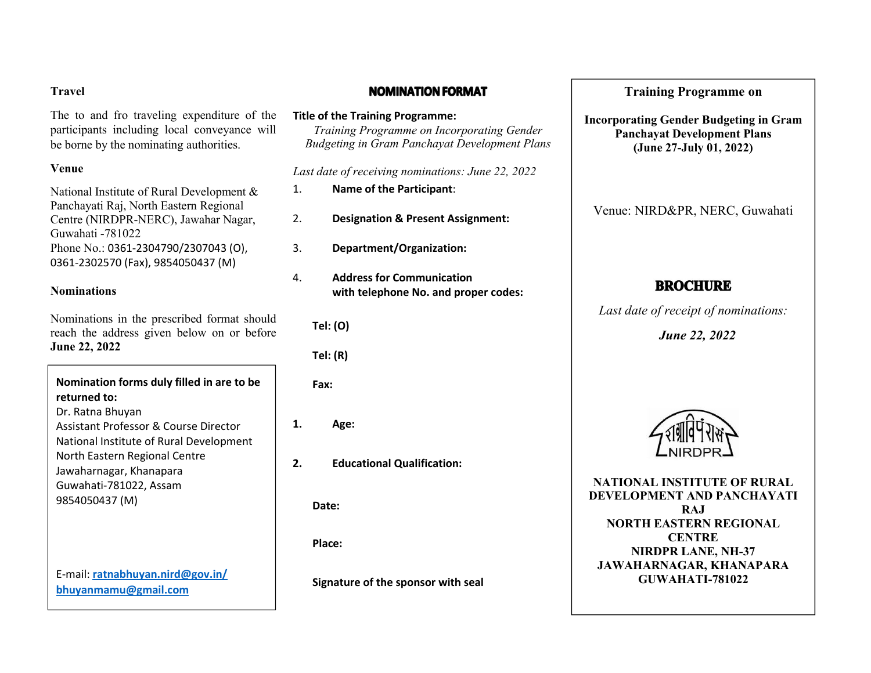### **Travel**

The to and fro traveling expenditure of the participants including local conveyance will be borne by the nominating authorities.

# **Venue**

National Institute of Rural Development & Panchayati Raj, North Eastern Regional Centre (NIRDPR-NERC), Jawahar Nagar, Guwahati -781022 Phone No.: 0361-2304790/2307043 (O), 0361-2302570 (Fax), 9854050437 (M)

# **Nominations**

Nominations in the prescribed format should reach the address given below on or before **June 22, 2022**

**Nomination formsduly filled in are to be returned to:** Dr. Ratna Bhuyan Assistant Professor & Course Director  $\vert$  1. National Institute of Rural Development North Eastern Regional Centre  $\begin{array}{|c|c|}\n\hline\n\end{array}$ Jawaharnagar, Khanapara Guwahati-781022, Assam 9854050437 (M) E-mail: **[ratnabhuyan.nird@gov.in/](mailto:ratnabhuyan.nird@gov.in/) [bhuyanmamu@gmail.com](mailto:bhuyanmamu@gmail.com)**

# **NOMINATION FORMAT**

**Title of the Training Programme:** *Training Programme on Incorporating Gender Budgeting in Gram Panchayat Development Plans*

*Last date of receiving nominations: June 22, 2022*

- 1. **Name of the Participant**:
- 2. **Designation & Present Assignment:**
- 3. **Department/Organization:**
- 4. **Address for Communication with telephone No. and proper codes:**

**Tel: (O)**

**Tel: (R)**

**Fax:**

**1. Age:**

**2. Educational Qualification:**

**Date:**

**Place:**

**Signature of the sponsor with seal**

# **Training Programme on**

**Incorporating Gender Budgeting in Gram Panchayat Development Plans (June 27-July 01, 2022)**

Venue: NIRD&PR, NERC, Guwahati

# **BROCHURE**

*Last date of receipt of nominations:*

*June 22, 2022*



**NATIONAL INSTITUTE OF RURAL DEVELOPMENT AND PANCHAYATI RAJ NORTH EASTERN REGIONAL CENTRE NIRDPR LANE, NH-37 JAWAHARNAGAR, KHANAPARA GUWAHATI-781022**